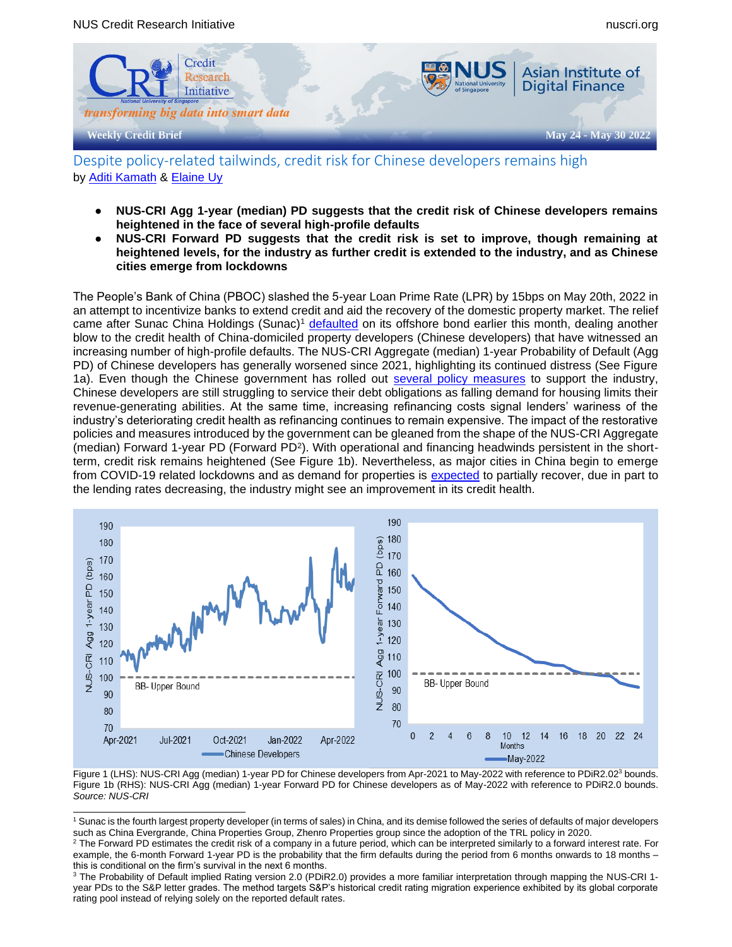

Despite policy-related tailwinds, credit risk for Chinese developers remains high by [Aditi Kamath](mailto:aditimkamath@u.nus.edu) & [Elaine Uy](mailto:elaineuy@u.nus.edu)

- **NUS-CRI Agg 1-year (median) PD suggests that the credit risk of Chinese developers remains heightened in the face of several high-profile defaults**
- **NUS-CRI Forward PD suggests that the credit risk is set to improve, though remaining at heightened levels, for the industry as further credit is extended to the industry, and as Chinese cities emerge from lockdowns**

The People's Bank of China (PBOC) slashed the 5-year Loan Prime Rate (LPR) by 15bps on May 20th, 2022 in an attempt to incentivize banks to extend credit and aid the recovery of the domestic property market. The relief came after Sunac China Holdings (Sunac)<sup>1</sup> [defaulted](https://asia.nikkei.com/Business/Markets/China-debt-crunch/Developer-Sunac-China-admits-default-on-750m-bond) on its offshore bond earlier this month, dealing another blow to the credit health of China-domiciled property developers (Chinese developers) that have witnessed an increasing number of high-profile defaults. The NUS-CRI Aggregate (median) 1-year Probability of Default (Agg PD) of Chinese developers has generally worsened since 2021, highlighting its continued distress (See Figure 1a). Even though the Chinese government has rolled out [several policy measures](https://www.bloomberg.com/news/articles/2022-05-25/how-china-is-seeking-to-revive-a-2-4-trillion-property-market) to support the industry, Chinese developers are still struggling to service their debt obligations as falling demand for housing limits their revenue-generating abilities. At the same time, increasing refinancing costs signal lenders' wariness of the industry's deteriorating credit health as refinancing continues to remain expensive. The impact of the restorative policies and measures introduced by the government can be gleaned from the shape of the NUS-CRI Aggregate (median) Forward 1-year PD (Forward PD<sup>2</sup>). With operational and financing headwinds persistent in the shortterm, credit risk remains heightened (See Figure 1b). Nevertheless, as major cities in China begin to emerge from COVID-19 related lockdowns and as demand for properties is [expected](https://www.bloomberg.com/news/articles/2022-05-31/chinese-banks-overflow-with-cash-that-nobody-wants-to-borrow?srnd=fixed-income) to partially recover, due in part to the lending rates decreasing, the industry might see an improvement in its credit health.



Figure 1 (LHS): NUS-CRI Agg (median) 1-year PD for Chinese developers from Apr-2021 to May-2022 with reference to PDiR2.02<sup>3</sup> bounds. Figure 1b (RHS): NUS-CRI Agg (median) 1-year Forward PD for Chinese developers as of May-2022 with reference to PDiR2.0 bounds. *Source: NUS-CRI*

<sup>1</sup> Sunac is the fourth largest property developer (in terms of sales) in China, and its demise followed the series of defaults of major developers such as China Evergrande, China Properties Group, Zhenro Properties group since the adoption of the TRL policy in 2020.

 $2$  The Forward PD estimates the credit risk of a company in a future period, which can be interpreted similarly to a forward interest rate. For example, the 6-month Forward 1-year PD is the probability that the firm defaults during the period from 6 months onwards to 18 months – this is conditional on the firm's survival in the next 6 months.

<sup>&</sup>lt;sup>3</sup> The Probability of Default implied Rating version 2.0 (PDiR2.0) provides a more familiar interpretation through mapping the NUS-CRI 1year PDs to the S&P letter grades. The method targets S&P's historical credit rating migration experience exhibited by its global corporate rating pool instead of relying solely on the reported default rates.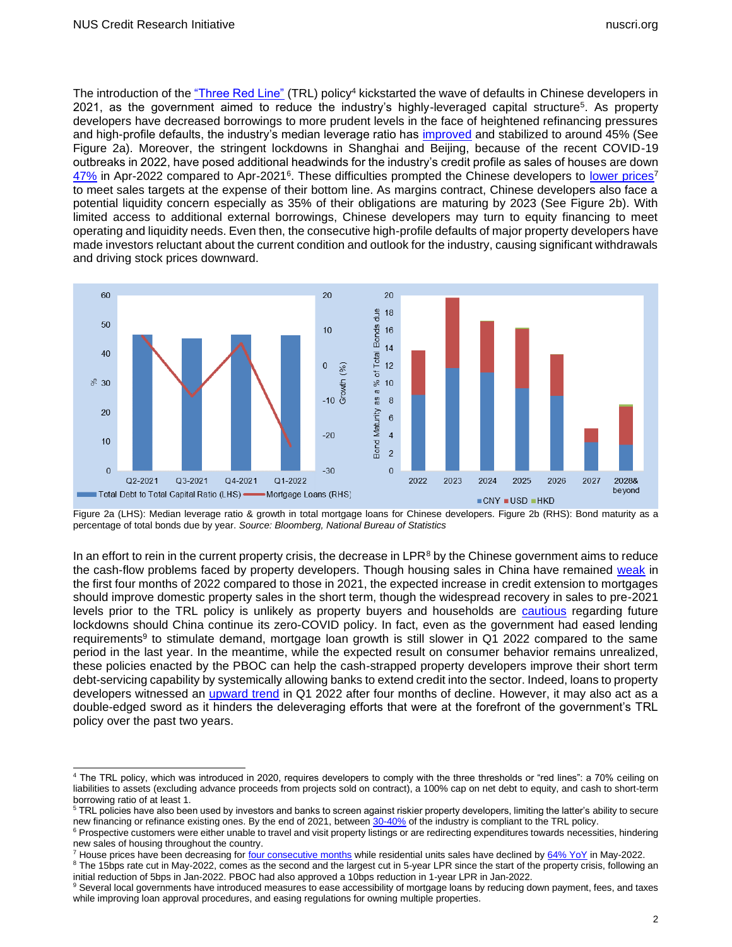The introduction of th[e "Three Red Line"](https://www.ft.com/content/d5803d64-5cc5-46f0-bed0-1bc207440f9c) (TRL) policy<sup>4</sup> kickstarted the wave of defaults in Chinese developers in 2021, as the government aimed to reduce the industry's highly-leveraged capital structure<sup>5</sup>. As property developers have decreased borrowings to more prudent levels in the face of heightened refinancing pressures and high-profile defaults, the industry's median leverage ratio has [improved](https://eac-consulting.de/china-three-red-lines-policy/) and stabilized to around 45% (See Figure 2a). Moreover, the stringent lockdowns in Shanghai and Beijing, because of the recent COVID-19 outbreaks in 2022, have posed additional headwinds for the industry's credit profile as sales of houses are down [47%](https://www.reuters.com/world/china/china-april-property-sales-plunge-466-fastest-since-least-2010-2022-05-16/) in Apr-2022 compared to Apr-2021<sup>6</sup>. These difficulties prompted the Chinese developers to [lower prices](https://sg.news.yahoo.com/chinese-developers-focus-debt-reduction-084237891.html)<sup>7</sup> to meet sales targets at the expense of their bottom line. As margins contract, Chinese developers also face a potential liquidity concern especially as 35% of their obligations are maturing by 2023 (See Figure 2b). With limited access to additional external borrowings, Chinese developers may turn to equity financing to meet operating and liquidity needs. Even then, the consecutive high-profile defaults of major property developers have made investors reluctant about the current condition and outlook for the industry, causing significant withdrawals and driving stock prices downward.



Figure 2a (LHS): Median leverage ratio & growth in total mortgage loans for Chinese developers. Figure 2b (RHS): Bond maturity as a percentage of total bonds due by year. *Source: Bloomberg, National Bureau of Statistics*

In an effort to rein in the current property crisis, the decrease in LPR $8$  by the Chinese government aims to reduce the cash-flow problems faced by property developers. Though housing sales in China have remained [weak](https://www.bloomberg.com/news/articles/2022-05-31/chinese-banks-overflow-with-cash-that-nobody-wants-to-borrow?srnd=fixed-income) in the first four months of 2022 compared to those in 2021, the expected increase in credit extension to mortgages should improve domestic property sales in the short term, though the widespread recovery in sales to pre-2021 levels prior to the TRL policy is unlikely as property buyers and households are [cautious](https://www.bloomberg.com/news/articles/2022-05-31/chinese-banks-overflow-with-cash-that-nobody-wants-to-borrow?srnd=fixed-income) regarding future lockdowns should China continue its zero-COVID policy. In fact, even as the government had eased lending requirements<sup>9</sup> to stimulate demand, mortgage loan growth is still slower in Q1 2022 compared to the same period in the last year. In the meantime, while the expected result on consumer behavior remains unrealized, these policies enacted by the PBOC can help the cash-strapped property developers improve their short term debt-servicing capability by systemically allowing banks to extend credit into the sector. Indeed, loans to property developers witnessed an [upward trend](http://english.www.gov.cn/archive/statistics/202205/06/content_WS62751ff9c6d02e533532a561.html) in Q1 2022 after four months of decline. However, it may also act as a double-edged sword as it hinders the deleveraging efforts that were at the forefront of the government's TRL policy over the past two years.

<sup>&</sup>lt;sup>4</sup> The TRL policy, which was introduced in 2020, requires developers to comply with the three thresholds or "red lines": a 70% ceiling on liabilities to assets (excluding advance proceeds from projects sold on contract), a 100% cap on net debt to equity, and cash to short-term borrowing ratio of at least 1.

<sup>&</sup>lt;sup>5</sup> TRL policies have also been used by investors and banks to screen against riskier property developers, limiting the latter's ability to secure new financing or refinance existing ones. By the end of 2021, between [30-40%](https://baijiahao.baidu.com/s?id=1710557256008675420&wfr=spider&for=pc) of the industry is compliant to the TRL policy.

<sup>&</sup>lt;sup>6</sup> Prospective customers were either unable to travel and visit property listings or are redirecting expenditures towards necessities, hindering new sales of housing throughout the country.

<sup>&</sup>lt;sup>7</sup> House prices have been decreasing fo[r four consecutive months](https://www.ceicdata.com/en/indicator/china/house-prices-growth) while residential units sales have declined by [64% YoY](https://www.bloomberg.com/news/articles/2022-05-31/chinese-banks-overflow-with-cash-that-nobody-wants-to-borrow) in May-2022.

<sup>&</sup>lt;sup>8</sup> The 15bps rate cut in May-2022, comes as the second and the largest cut in 5-year LPR since the start of the property crisis, following an initial reduction of 5bps in Jan-2022. PBOC had also approved a 10bps reduction in 1-year LPR in Jan-2022.

<sup>9</sup> Several local governments have introduced [measures](https://www.bloomberg.com/news/articles/2022-05-25/how-china-is-seeking-to-revive-a-2-4-trillion-property-market) to ease accessibility of mortgage loans by reducing down payment, fees, and taxes while improving loan approval procedures, and easing regulations for owning multiple properties.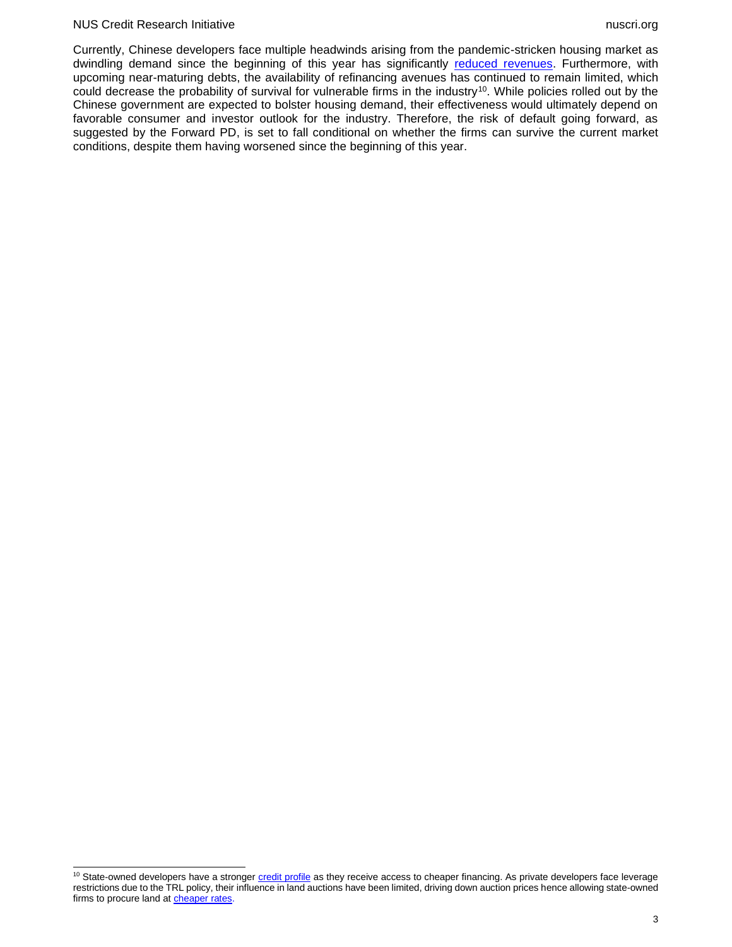#### NUS Credit Research Initiative nuscri.org nuscri.org nuscri.org nuscri.org nuscri.org nuscri.org nuscri.org nuscri

Currently, Chinese developers face multiple headwinds arising from the pandemic-stricken housing market as dwindling demand since the beginning of this year has significantly [reduced revenues.](http://www.stats.gov.cn/xxgk/sjfb/zxfb2020/202204/t20220418_1829718.html) Furthermore, with upcoming near-maturing debts, the availability of refinancing avenues has continued to remain limited, which could decrease the probability of survival for vulnerable firms in the industry<sup>10</sup>. While policies rolled out by the Chinese government are expected to bolster housing demand, their effectiveness would ultimately depend on favorable consumer and investor outlook for the industry. Therefore, the risk of default going forward, as suggested by the Forward PD, is set to fall conditional on whether the firms can survive the current market conditions, despite them having worsened since the beginning of this year.

<sup>&</sup>lt;sup>10</sup> State-owned developers have a stronger *credit profile* as they receive access to cheaper financing. As private developers face leverage restrictions due to the TRL policy, their influence in land auctions have been limited, driving down auction prices hence allowing state-owned firms to procure land a[t cheaper rates.](https://www.wsj.com/articles/as-chinas-private-developers-retreat-state-backed-rivals-gain-ground-11653989402)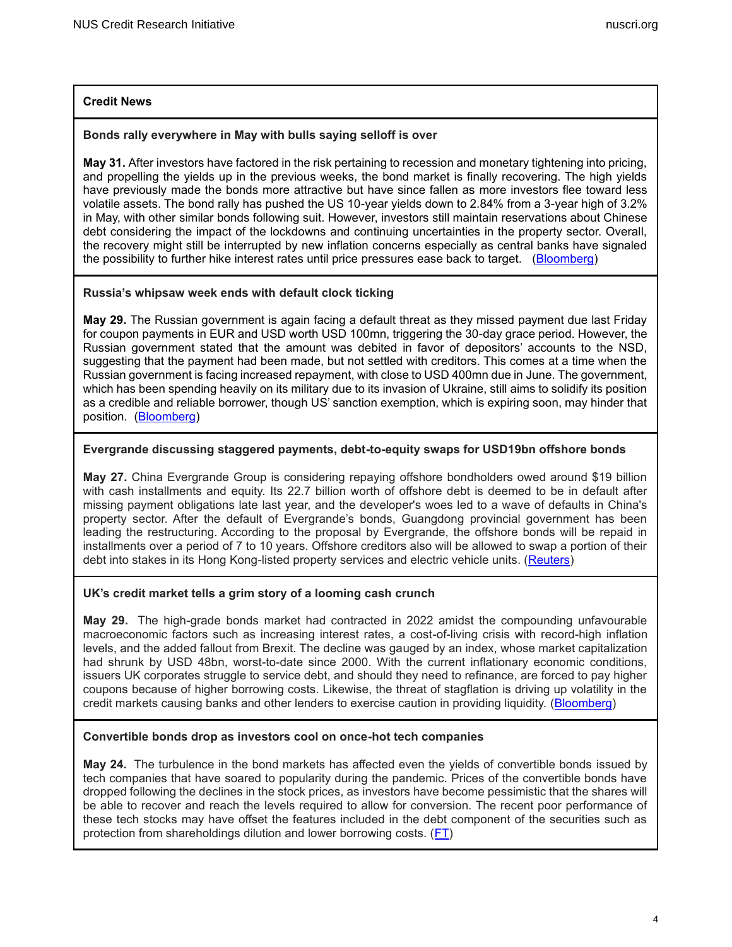# **Credit News**

### **Bonds rally everywhere in May with bulls saying selloff is over**

**May 31.** After investors have factored in the risk pertaining to recession and monetary tightening into pricing, and propelling the yields up in the previous weeks, the bond market is finally recovering. The high yields have previously made the bonds more attractive but have since fallen as more investors flee toward less volatile assets. The bond rally has pushed the US 10-year yields down to 2.84% from a 3-year high of 3.2% in May, with other similar bonds following suit. However, investors still maintain reservations about Chinese debt considering the impact of the lockdowns and continuing uncertainties in the property sector. Overall, the recovery might still be interrupted by new inflation concerns especially as central banks have signaled the possibility to further hike interest rates until price pressures ease back to target. [\(Bloomberg\)](https://www.bloomberg.com/news/articles/2022-05-30/bonds-rally-everywhere-in-may-with-bulls-saying-selloff-is-over)

### **Russia's whipsaw week ends with default clock ticking**

**May 29.** The Russian government is again facing a default threat as they missed payment due last Friday for coupon payments in EUR and USD worth USD 100mn, triggering the 30-day grace period. However, the Russian government stated that the amount was debited in favor of depositors' accounts to the NSD, suggesting that the payment had been made, but not settled with creditors. This comes at a time when the Russian government is facing increased repayment, with close to USD 400mn due in June. The government, which has been spending heavily on its military due to its invasion of Ukraine, still aims to solidify its position as a credible and reliable borrower, though US' sanction exemption, which is expiring soon, may hinder that position. [\(Bloomberg\)](https://www.bloomberg.com/news/articles/2022-05-28/russia-s-whipsaw-week-ends-with-default-clock-ticking)

### **Evergrande discussing staggered payments, debt-to-equity swaps for USD19bn offshore bonds**

**May 27.** China Evergrande Group is considering repaying offshore bondholders owed around \$19 billion with cash installments and equity. Its 22.7 billion worth of offshore debt is deemed to be in default after missing payment obligations late last year, and the developer's woes led to a wave of defaults in China's property sector. After the default of Evergrande's bonds, Guangdong provincial government has been leading the restructuring. According to the proposal by Evergrande, the offshore bonds will be repaid in installments over a period of 7 to 10 years. Offshore creditors also will be allowed to swap a portion of their debt into stakes in its Hong Kong-listed property services and electric vehicle units. [\(Reuters\)](https://www.reuters.com/markets/us/exclusive-evergrande-discussing-staggered-payments-debt-to-equity-swaps-19-bln-2022-05-27/)

# **UK's credit market tells a grim story of a looming cash crunch**

**May 29.** The high-grade bonds market had contracted in 2022 amidst the compounding unfavourable macroeconomic factors such as increasing interest rates, a cost-of-living crisis with record-high inflation levels, and the added fallout from Brexit. The decline was gauged by an index, whose market capitalization had shrunk by USD 48bn, worst-to-date since 2000. With the current inflationary economic conditions, issuers UK corporates struggle to service debt, and should they need to refinance, are forced to pay higher coupons because of higher borrowing costs. Likewise, the threat of stagflation is driving up volatility in the credit markets causing banks and other lenders to exercise caution in providing liquidity. [\(Bloomberg\)](https://www.bloomberg.com/news/articles/2022-05-29/uk-s-credit-market-tells-a-grim-story-of-a-looming-cash-crunch)

#### **Convertible bonds drop as investors cool on once-hot tech companies**

**May 24.** The turbulence in the bond markets has affected even the yields of convertible bonds issued by tech companies that have soared to popularity during the pandemic. Prices of the convertible bonds have dropped following the declines in the stock prices, as investors have become pessimistic that the shares will be able to recover and reach the levels required to allow for conversion. The recent poor performance of these tech stocks may have offset the features included in the debt component of the securities such as protection from shareholdings dilution and lower borrowing costs. [\(FT\)](https://www.ft.com/content/2b8d6fa1-cae8-4e29-9953-834a43a0fd29)